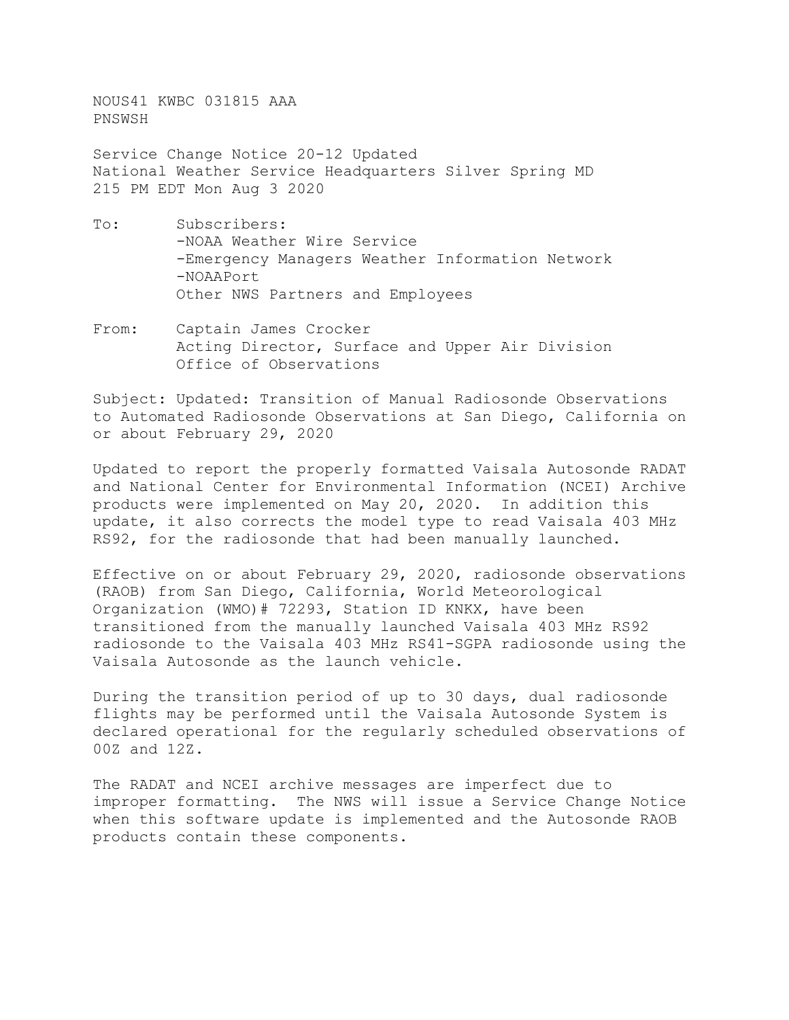NOUS41 KWBC 031815 AAA PNSWSH

Service Change Notice 20-12 Updated National Weather Service Headquarters Silver Spring MD 215 PM EDT Mon Aug 3 2020

- To: Subscribers: -NOAA Weather Wire Service -Emergency Managers Weather Information Network -NOAAPort Other NWS Partners and Employees
- From: Captain James Crocker Acting Director, Surface and Upper Air Division Office of Observations

Subject: Updated: Transition of Manual Radiosonde Observations to Automated Radiosonde Observations at San Diego, California on or about February 29, 2020

Updated to report the properly formatted Vaisala Autosonde RADAT and National Center for Environmental Information (NCEI) Archive products were implemented on May 20, 2020. In addition this update, it also corrects the model type to read Vaisala 403 MHz RS92, for the radiosonde that had been manually launched.

Effective on or about February 29, 2020, radiosonde observations (RAOB) from San Diego, California, World Meteorological Organization (WMO)# 72293, Station ID KNKX, have been transitioned from the manually launched Vaisala 403 MHz RS92 radiosonde to the Vaisala 403 MHz RS41-SGPA radiosonde using the Vaisala Autosonde as the launch vehicle.

During the transition period of up to 30 days, dual radiosonde flights may be performed until the Vaisala Autosonde System is declared operational for the regularly scheduled observations of 00Z and 12Z.

The RADAT and NCEI archive messages are imperfect due to improper formatting. The NWS will issue a Service Change Notice when this software update is implemented and the Autosonde RAOB products contain these components.